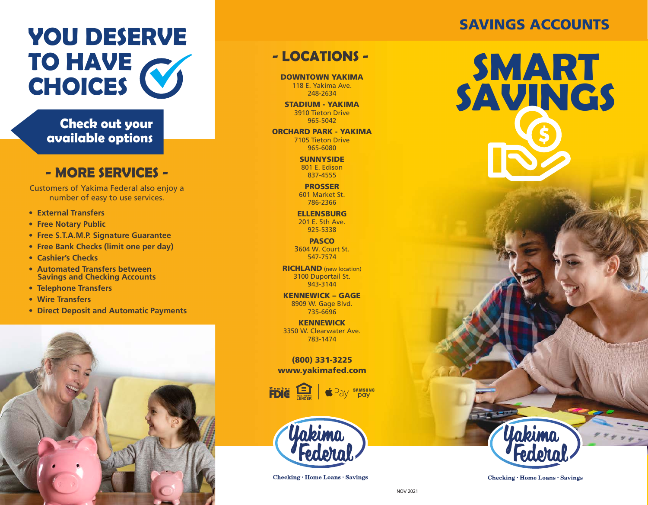# **YOU DESERVE CHOICES SMART**<br> **CHOICES SMART**

**Check out your available options**

### **- MORE SERVICES -**

Customers of Yakima Federal also enjoy a number of easy to use services.

- **External Transfers**
- **Free Notary Public**
- **Free S.T.A.M.P. Signature Guarantee**
- **Free Bank Checks (limit one per day)**
- **Cashier's Checks**
- **Automated Transfers between Savings and Checking Accounts**
- **Telephone Transfers**
- **Wire Transfers**
- **Direct Deposit and Automatic Payments**



## **- LOCATIONS -**

DOWNTOWN YAKIMA 118 E. Yakima Ave. 248-2634

STADIUM - YAKIMA 3910 Tieton Drive 965-5042

ORCHARD PARK - YAKIMA 7105 Tieton Drive 965-6080

> **SUNNYSIDE** 801 E. Edison 837-4555

PROSSER 601 Market St. 786-2366

**ELLENSBURG** 201 E. 5th Ave. 925-5338

**PASCO** 3604 W. Court St. 547-7574

**RICHLAND** (new location) 3100 Duportail St. 943-3144

KENNEWICK – GAGE 8909 W. Gage Blvd. 735-6696

KENNEWICK 3350 W. Clearwater Ave. 783-1474

(800) 331-3225 www.yakimafed.com

FDIC ENDER SAMSUNG



Checking · Home Loans · Savings

## SAVINGS ACCOUNTS

**SAVINGS**



Unbimn